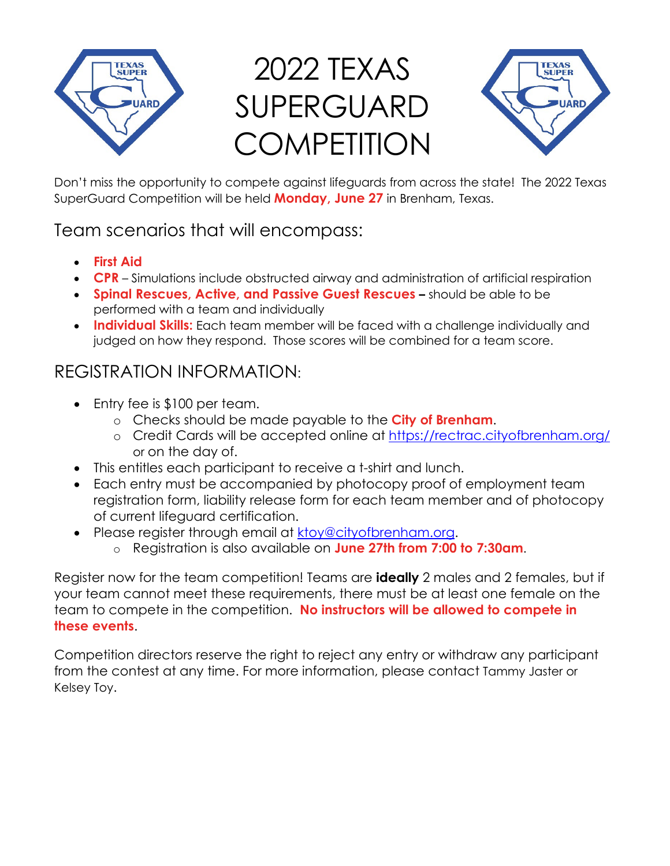

## 2022 TEXAS SUPERGUARD **COMPETITION**



Don't miss the opportunity to compete against lifeguards from across the state! The 2022 Texas SuperGuard Competition will be held **Monday, June 27** in Brenham, Texas.

## Team scenarios that will encompass:

- **First Aid**
- **CPR** Simulations include obstructed airway and administration of artificial respiration
- **Spinal Rescues, Active, and Passive Guest Rescues –** should be able to be performed with a team and individually
- **Individual Skills:** Each team member will be faced with a challenge individually and judged on how they respond. Those scores will be combined for a team score.

## REGISTRATION INFORMATION:

- Entry fee is \$100 per team.
	- o Checks should be made payable to the **City of Brenham**.
	- o Credit Cards will be accepted online at <https://rectrac.cityofbrenham.org/> or on the day of.
- This entitles each participant to receive a t-shirt and lunch.
- Each entry must be accompanied by photocopy proof of employment team registration form, liability release form for each team member and of photocopy of current lifeguard certification.
- Please register through email at [ktoy@cityofbrenham.org.](mailto:ktoy@cityofbrenham.org)
	- o Registration is also available on **June 27th from 7:00 to 7:30am**.

Register now for the team competition! Teams are **ideally** 2 males and 2 females, but if your team cannot meet these requirements, there must be at least one female on the team to compete in the competition. **No instructors will be allowed to compete in these events**.

Competition directors reserve the right to reject any entry or withdraw any participant from the contest at any time. For more information, please contact Tammy Jaster or Kelsey Toy.